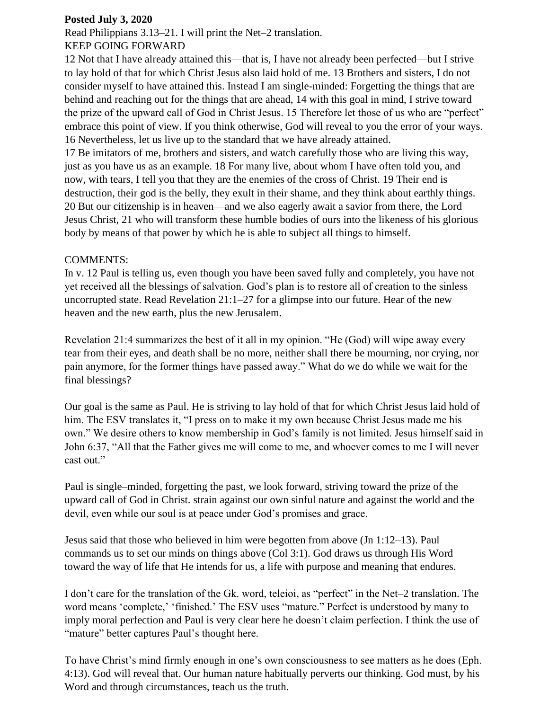## **Posted July 3, 2020**

Read Philippians 3.13–21. I will print the Net–2 translation. KEEP GOING FORWARD

## 12 Not that I have already attained this—that is, I have not already been perfected—but I strive

to lay hold of that for which Christ Jesus also laid hold of me. 13 Brothers and sisters, I do not consider myself to have attained this. Instead I am single-minded: Forgetting the things that are behind and reaching out for the things that are ahead, 14 with this goal in mind, I strive toward the prize of the upward call of God in Christ Jesus. 15 Therefore let those of us who are "perfect" embrace this point of view. If you think otherwise, God will reveal to you the error of your ways. 16 Nevertheless, let us live up to the standard that we have already attained.

17 Be imitators of me, brothers and sisters, and watch carefully those who are living this way, just as you have us as an example. 18 For many live, about whom I have often told you, and now, with tears, I tell you that they are the enemies of the cross of Christ. 19 Their end is destruction, their god is the belly, they exult in their shame, and they think about earthly things. 20 But our citizenship is in heaven—and we also eagerly await a savior from there, the Lord Jesus Christ, 21 who will transform these humble bodies of ours into the likeness of his glorious body by means of that power by which he is able to subject all things to himself.

## COMMENTS:

In v. 12 Paul is telling us, even though you have been saved fully and completely, you have not yet received all the blessings of salvation. God's plan is to restore all of creation to the sinless uncorrupted state. Read Revelation 21:1–27 for a glimpse into our future. Hear of the new heaven and the new earth, plus the new Jerusalem.

Revelation 21:4 summarizes the best of it all in my opinion. "He (God) will wipe away every tear from their eyes, and death shall be no more, neither shall there be mourning, nor crying, nor pain anymore, for the former things have passed away." What do we do while we wait for the final blessings?

Our goal is the same as Paul. He is striving to lay hold of that for which Christ Jesus laid hold of him. The ESV translates it, "I press on to make it my own because Christ Jesus made me his own." We desire others to know membership in God's family is not limited. Jesus himself said in John 6:37, "All that the Father gives me will come to me, and whoever comes to me I will never cast out."

Paul is single–minded, forgetting the past, we look forward, striving toward the prize of the upward call of God in Christ. strain against our own sinful nature and against the world and the devil, even while our soul is at peace under God's promises and grace.

Jesus said that those who believed in him were begotten from above (Jn 1:12–13). Paul commands us to set our minds on things above (Col 3:1). God draws us through His Word toward the way of life that He intends for us, a life with purpose and meaning that endures.

I don't care for the translation of the Gk. word, teleioi, as "perfect" in the Net–2 translation. The word means 'complete,' 'finished.' The ESV uses "mature." Perfect is understood by many to imply moral perfection and Paul is very clear here he doesn't claim perfection. I think the use of "mature" better captures Paul's thought here.

To have Christ's mind firmly enough in one's own consciousness to see matters as he does (Eph. 4:13). God will reveal that. Our human nature habitually perverts our thinking. God must, by his Word and through circumstances, teach us the truth.